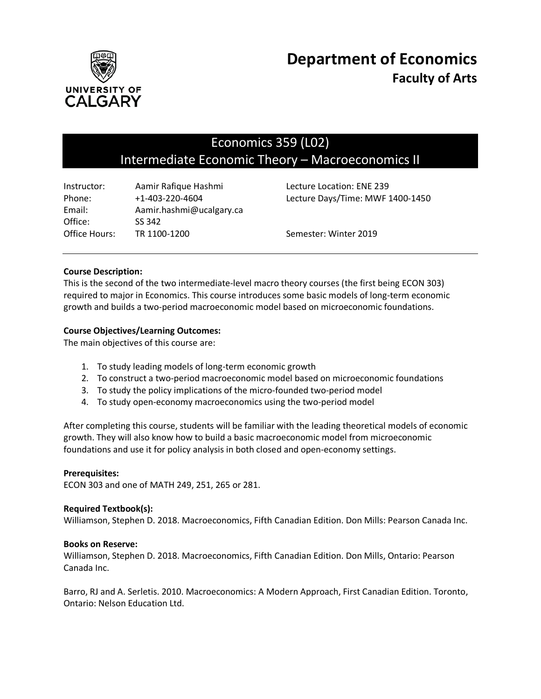

# Economics 359 (L02) Intermediate Economic Theory – Macroeconomics II

| Instructor:   | Aamir Rafique Hashmi                                | Lecture Location: ENE 239 |
|---------------|-----------------------------------------------------|---------------------------|
| Phone:        | Lecture Days/Time: MWF 1400-1450<br>+1-403-220-4604 |                           |
| Email:        | Aamir.hashmi@ucalgary.ca                            |                           |
| Office:       | SS 342                                              |                           |
| Office Hours: | TR 1100-1200                                        | Semester: Winter 2019     |

# **Course Description:**

This is the second of the two intermediate-level macro theory courses (the first being ECON 303) required to major in Economics. This course introduces some basic models of long-term economic growth and builds a two-period macroeconomic model based on microeconomic foundations.

# **Course Objectives/Learning Outcomes:**

The main objectives of this course are:

- 1. To study leading models of long-term economic growth
- 2. To construct a two-period macroeconomic model based on microeconomic foundations
- 3. To study the policy implications of the micro-founded two-period model
- 4. To study open-economy macroeconomics using the two-period model

After completing this course, students will be familiar with the leading theoretical models of economic growth. They will also know how to build a basic macroeconomic model from microeconomic foundations and use it for policy analysis in both closed and open-economy settings.

## **Prerequisites:**

ECON 303 and one of MATH 249, 251, 265 or 281.

## **Required Textbook(s):**

Williamson, Stephen D. 2018. Macroeconomics, Fifth Canadian Edition. Don Mills: Pearson Canada Inc.

## **Books on Reserve:**

Williamson, Stephen D. 2018. Macroeconomics, Fifth Canadian Edition. Don Mills, Ontario: Pearson Canada Inc.

Barro, RJ and A. Serletis. 2010. Macroeconomics: A Modern Approach, First Canadian Edition. Toronto, Ontario: Nelson Education Ltd.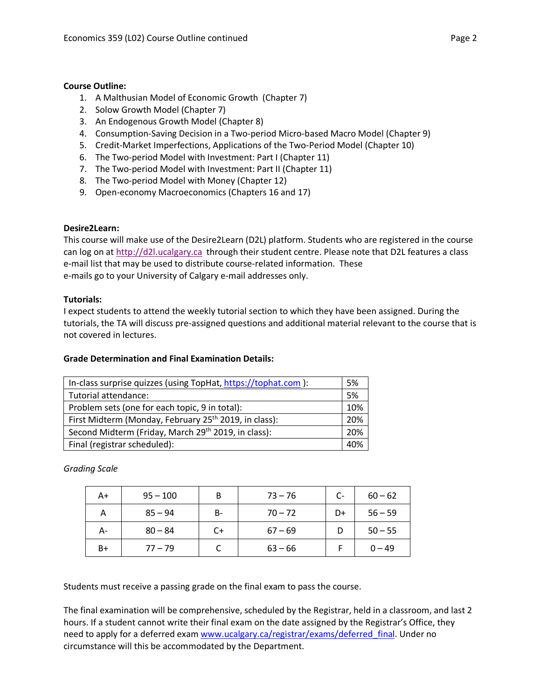# **Course Outline:**

- 1. A Malthusian Model of Economic Growth (Chapter 7)
- 2. Solow Growth Model (Chapter 7)
- 3. An Endogenous Growth Model (Chapter 8)
- 4. Consumption-Saving Decision in a Two-period Micro-based Macro Model (Chapter 9)
- 5. Credit-Market Imperfections, Applications of the Two-Period Model (Chapter 10)
- 6. The Two-period Model with Investment: Part I (Chapter 11)
- 7. The Two-period Model with Investment: Part II (Chapter 11)
- 8. The Two-period Model with Money (Chapter 12)
- 9. Open-economy Macroeconomics (Chapters 16 and 17)

# **Desire2Learn:**

This course will make use of the Desire2Learn (D2L) platform. Students who are registered in the course can log on at [http://d2l.ucalgary.ca](http://d2l.ucalgary.ca/) through their student centre. Please note that D2L features a class e-mail list that may be used to distribute course-related information. These e-mails go to your University of Calgary e-mail addresses only.

# **Tutorials:**

I expect students to attend the weekly tutorial section to which they have been assigned. During the tutorials, the TA will discuss pre-assigned questions and additional material relevant to the course that is not covered in lectures.

# **Grade Determination and Final Examination Details:**

| In-class surprise quizzes (using TopHat, https://tophat.com ):    |    |  |
|-------------------------------------------------------------------|----|--|
| Tutorial attendance:                                              | 5% |  |
| Problem sets (one for each topic, 9 in total):                    |    |  |
| First Midterm (Monday, February 25 <sup>th</sup> 2019, in class): |    |  |
| Second Midterm (Friday, March 29 <sup>th</sup> 2019, in class):   |    |  |
| Final (registrar scheduled):                                      |    |  |

*Grading Scale*

| A+ | $95 - 100$ | В    | $73 - 76$ | C- | $60 - 62$ |
|----|------------|------|-----------|----|-----------|
| Α  | $85 - 94$  | B-   | $70 - 72$ | D+ | $56 - 59$ |
| А- | $80 - 84$  | $C+$ | $67 - 69$ |    | $50 - 55$ |
| B+ | $77 - 79$  |      | $63 - 66$ |    | $0 - 49$  |

Students must receive a passing grade on the final exam to pass the course.

The final examination will be comprehensive, scheduled by the Registrar, held in a classroom, and last 2 hours. If a student cannot write their final exam on the date assigned by the Registrar's Office, they need to apply for a deferred exam www.ucalgary.ca/registrar/exams/deferred final. Under no circumstance will this be accommodated by the Department.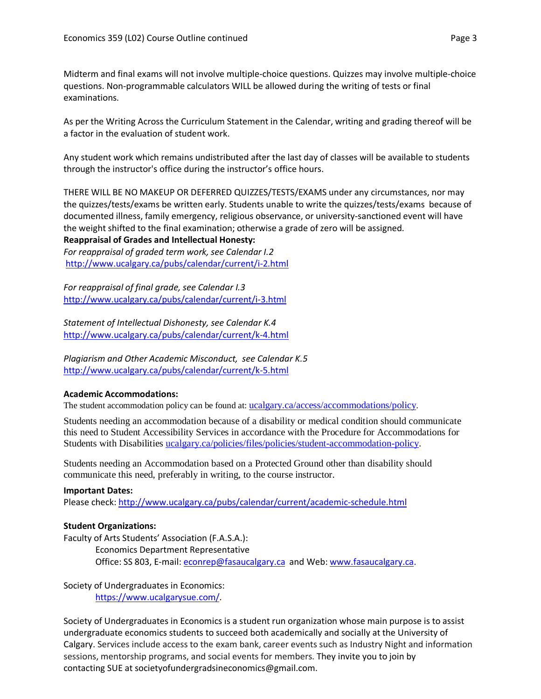Midterm and final exams will not involve multiple-choice questions. Quizzes may involve multiple-choice questions. Non-programmable calculators WILL be allowed during the writing of tests or final examinations.

As per the Writing Across the Curriculum Statement in the Calendar, writing and grading thereof will be a factor in the evaluation of student work.

Any student work which remains undistributed after the last day of classes will be available to students through the instructor's office during the instructor's office hours.

THERE WILL BE NO MAKEUP OR DEFERRED QUIZZES/TESTS/EXAMS under any circumstances, nor may the quizzes/tests/exams be written early. Students unable to write the quizzes/tests/exams because of documented illness, family emergency, religious observance, or university-sanctioned event will have the weight shifted to the final examination; otherwise a grade of zero will be assigned.

**Reappraisal of Grades and Intellectual Honesty:**

*For reappraisal of graded term work, see Calendar I.2* <http://www.ucalgary.ca/pubs/calendar/current/i-2.html>

*For reappraisal of final grade, see Calendar I.3* <http://www.ucalgary.ca/pubs/calendar/current/i-3.html>

*Statement of Intellectual Dishonesty, see Calendar K.4* <http://www.ucalgary.ca/pubs/calendar/current/k-4.html>

*Plagiarism and Other Academic Misconduct, see Calendar K.5* <http://www.ucalgary.ca/pubs/calendar/current/k-5.html>

## **Academic Accommodations:**

The student accommodation policy can be found at: [ucalgary.ca/access/accommodations/policy.](http://www.ucalgary.ca/access/accommodations/policy)

Students needing an accommodation because of a disability or medical condition should communicate this need to Student Accessibility Services in accordance with the Procedure for Accommodations for Students with Disabilities [ucalgary.ca/policies/files/policies/student-accommodation-policy.](http://www.ucalgary.ca/policies/files/policies/student-accommodation-policy.pdf)

Students needing an Accommodation based on a Protected Ground other than disability should communicate this need, preferably in writing, to the course instructor.

#### **Important Dates:**

Please check:<http://www.ucalgary.ca/pubs/calendar/current/academic-schedule.html>

## **Student Organizations:**

Faculty of Arts Students' Association (F.A.S.A.):

Economics Department Representative Office: SS 803, E-mail: [econrep@fasaucalgary.ca](mailto:econrep@fasaucalgary.ca) and Web[: www.fasaucalgary.ca.](http://www.fasaucalgary.ca/)

Society of Undergraduates in Economics: [https://www.ucalgarysue.com/.](https://www.ucalgarysue.com/)

Society of Undergraduates in Economics is a student run organization whose main purpose is to assist undergraduate economics students to succeed both academically and socially at the University of Calgary. Services include access to the exam bank, career events such as Industry Night and information sessions, mentorship programs, and social events for members. They invite you to join by contacting SUE at societyofundergradsineconomics@gmail.com.